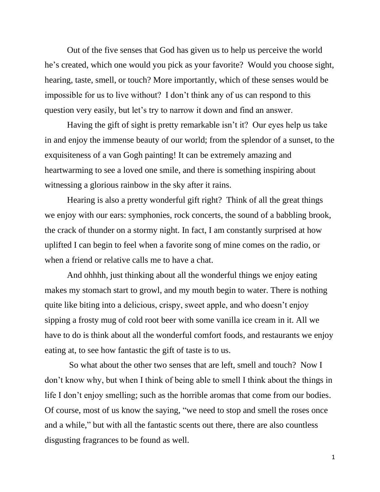Out of the five senses that God has given us to help us perceive the world he's created, which one would you pick as your favorite? Would you choose sight, hearing, taste, smell, or touch? More importantly, which of these senses would be impossible for us to live without? I don't think any of us can respond to this question very easily, but let's try to narrow it down and find an answer.

Having the gift of sight is pretty remarkable isn't it? Our eyes help us take in and enjoy the immense beauty of our world; from the splendor of a sunset, to the exquisiteness of a van Gogh painting! It can be extremely amazing and heartwarming to see a loved one smile, and there is something inspiring about witnessing a glorious rainbow in the sky after it rains.

Hearing is also a pretty wonderful gift right? Think of all the great things we enjoy with our ears: symphonies, rock concerts, the sound of a babbling brook, the crack of thunder on a stormy night. In fact, I am constantly surprised at how uplifted I can begin to feel when a favorite song of mine comes on the radio, or when a friend or relative calls me to have a chat.

And ohhhh, just thinking about all the wonderful things we enjoy eating makes my stomach start to growl, and my mouth begin to water. There is nothing quite like biting into a delicious, crispy, sweet apple, and who doesn't enjoy sipping a frosty mug of cold root beer with some vanilla ice cream in it. All we have to do is think about all the wonderful comfort foods, and restaurants we enjoy eating at, to see how fantastic the gift of taste is to us.

So what about the other two senses that are left, smell and touch? Now I don't know why, but when I think of being able to smell I think about the things in life I don't enjoy smelling; such as the horrible aromas that come from our bodies. Of course, most of us know the saying, "we need to stop and smell the roses once and a while," but with all the fantastic scents out there, there are also countless disgusting fragrances to be found as well.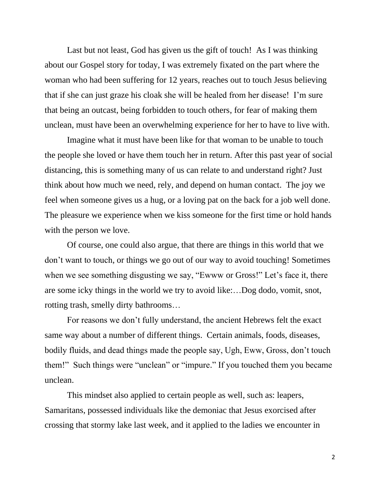Last but not least, God has given us the gift of touch! As I was thinking about our Gospel story for today, I was extremely fixated on the part where the woman who had been suffering for 12 years, reaches out to touch Jesus believing that if she can just graze his cloak she will be healed from her disease! I'm sure that being an outcast, being forbidden to touch others, for fear of making them unclean, must have been an overwhelming experience for her to have to live with.

Imagine what it must have been like for that woman to be unable to touch the people she loved or have them touch her in return. After this past year of social distancing, this is something many of us can relate to and understand right? Just think about how much we need, rely, and depend on human contact. The joy we feel when someone gives us a hug, or a loving pat on the back for a job well done. The pleasure we experience when we kiss someone for the first time or hold hands with the person we love.

Of course, one could also argue, that there are things in this world that we don't want to touch, or things we go out of our way to avoid touching! Sometimes when we see something disgusting we say, "Ewww or Gross!" Let's face it, there are some icky things in the world we try to avoid like:…Dog dodo, vomit, snot, rotting trash, smelly dirty bathrooms…

For reasons we don't fully understand, the ancient Hebrews felt the exact same way about a number of different things. Certain animals, foods, diseases, bodily fluids, and dead things made the people say, Ugh, Eww, Gross, don't touch them!" Such things were "unclean" or "impure." If you touched them you became unclean.

This mindset also applied to certain people as well, such as: leapers, Samaritans, possessed individuals like the demoniac that Jesus exorcised after crossing that stormy lake last week, and it applied to the ladies we encounter in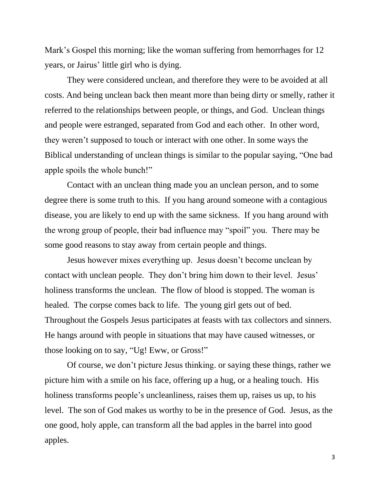Mark's Gospel this morning; like the woman suffering from hemorrhages for 12 years, or Jairus' little girl who is dying.

They were considered unclean, and therefore they were to be avoided at all costs. And being unclean back then meant more than being dirty or smelly, rather it referred to the relationships between people, or things, and God. Unclean things and people were estranged, separated from God and each other. In other word, they weren't supposed to touch or interact with one other. In some ways the Biblical understanding of unclean things is similar to the popular saying, "One bad apple spoils the whole bunch!"

Contact with an unclean thing made you an unclean person, and to some degree there is some truth to this. If you hang around someone with a contagious disease, you are likely to end up with the same sickness. If you hang around with the wrong group of people, their bad influence may "spoil" you. There may be some good reasons to stay away from certain people and things.

Jesus however mixes everything up. Jesus doesn't become unclean by contact with unclean people. They don't bring him down to their level. Jesus' holiness transforms the unclean. The flow of blood is stopped. The woman is healed. The corpse comes back to life. The young girl gets out of bed. Throughout the Gospels Jesus participates at feasts with tax collectors and sinners. He hangs around with people in situations that may have caused witnesses, or those looking on to say, "Ug! Eww, or Gross!"

Of course, we don't picture Jesus thinking. or saying these things, rather we picture him with a smile on his face, offering up a hug, or a healing touch. His holiness transforms people's uncleanliness, raises them up, raises us up, to his level. The son of God makes us worthy to be in the presence of God. Jesus, as the one good, holy apple, can transform all the bad apples in the barrel into good apples.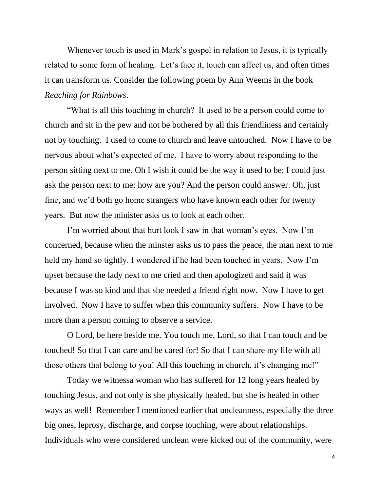Whenever touch is used in Mark's gospel in relation to Jesus, it is typically related to some form of healing. Let's face it, touch can affect us, and often times it can transform us. Consider the following poem by Ann Weems in the book *Reaching for Rainbows*.

"What is all this touching in church? It used to be a person could come to church and sit in the pew and not be bothered by all this friendliness and certainly not by touching. I used to come to church and leave untouched. Now I have to be nervous about what's expected of me. I have to worry about responding to the person sitting next to me. Oh I wish it could be the way it used to be; I could just ask the person next to me: how are you? And the person could answer: Oh, just fine, and we'd both go home strangers who have known each other for twenty years. But now the minister asks us to look at each other.

I'm worried about that hurt look I saw in that woman's eyes. Now I'm concerned, because when the minster asks us to pass the peace, the man next to me held my hand so tightly. I wondered if he had been touched in years. Now I'm upset because the lady next to me cried and then apologized and said it was because I was so kind and that she needed a friend right now. Now I have to get involved. Now I have to suffer when this community suffers. Now I have to be more than a person coming to observe a service.

O Lord, be here beside me. You touch me, Lord, so that I can touch and be touched! So that I can care and be cared for! So that I can share my life with all those others that belong to you! All this touching in church, it's changing me!"

Today we witnessa woman who has suffered for 12 long years healed by touching Jesus, and not only is she physically healed, but she is healed in other ways as well! Remember I mentioned earlier that uncleanness, especially the three big ones, leprosy, discharge, and corpse touching, were about relationships. Individuals who were considered unclean were kicked out of the community, were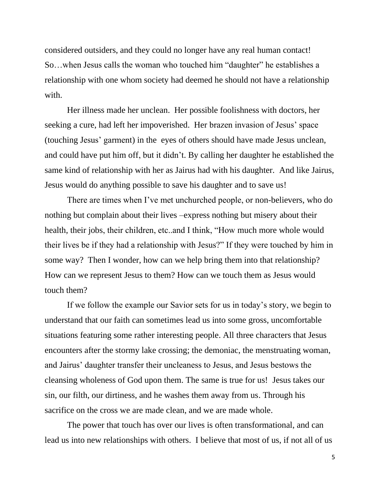considered outsiders, and they could no longer have any real human contact! So…when Jesus calls the woman who touched him "daughter" he establishes a relationship with one whom society had deemed he should not have a relationship with.

Her illness made her unclean. Her possible foolishness with doctors, her seeking a cure, had left her impoverished. Her brazen invasion of Jesus' space (touching Jesus' garment) in the eyes of others should have made Jesus unclean, and could have put him off, but it didn't. By calling her daughter he established the same kind of relationship with her as Jairus had with his daughter. And like Jairus, Jesus would do anything possible to save his daughter and to save us!

There are times when I've met unchurched people, or non-believers, who do nothing but complain about their lives –express nothing but misery about their health, their jobs, their children, etc..and I think, "How much more whole would their lives be if they had a relationship with Jesus?" If they were touched by him in some way? Then I wonder, how can we help bring them into that relationship? How can we represent Jesus to them? How can we touch them as Jesus would touch them?

If we follow the example our Savior sets for us in today's story, we begin to understand that our faith can sometimes lead us into some gross, uncomfortable situations featuring some rather interesting people. All three characters that Jesus encounters after the stormy lake crossing; the demoniac, the menstruating woman, and Jairus' daughter transfer their uncleaness to Jesus, and Jesus bestows the cleansing wholeness of God upon them. The same is true for us! Jesus takes our sin, our filth, our dirtiness, and he washes them away from us. Through his sacrifice on the cross we are made clean, and we are made whole.

The power that touch has over our lives is often transformational, and can lead us into new relationships with others. I believe that most of us, if not all of us